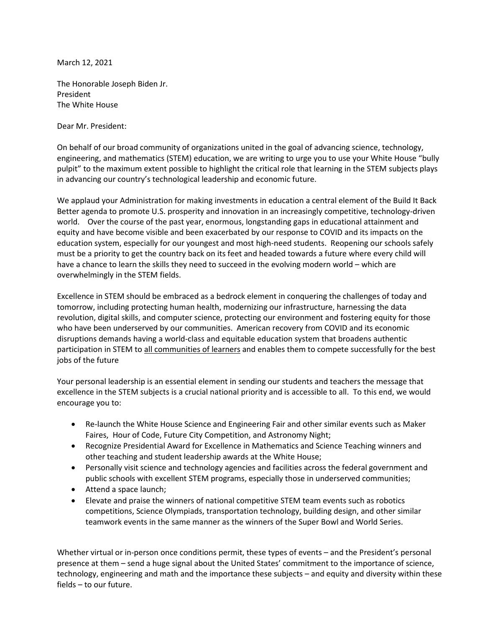March 12, 2021

The Honorable Joseph Biden Jr. President The White House

Dear Mr. President:

On behalf of our broad community of organizations united in the goal of advancing science, technology, engineering, and mathematics (STEM) education, we are writing to urge you to use your White House "bully pulpit" to the maximum extent possible to highlight the critical role that learning in the STEM subjects plays in advancing our country's technological leadership and economic future.

We applaud your Administration for making investments in education a central element of the Build It Back Better agenda to promote U.S. prosperity and innovation in an increasingly competitive, technology-driven world. Over the course of the past year, enormous, longstanding gaps in educational attainment and equity and have become visible and been exacerbated by our response to COVID and its impacts on the education system, especially for our youngest and most high-need students. Reopening our schools safely must be a priority to get the country back on its feet and headed towards a future where every child will have a chance to learn the skills they need to succeed in the evolving modern world – which are overwhelmingly in the STEM fields.

Excellence in STEM should be embraced as a bedrock element in conquering the challenges of today and tomorrow, including protecting human health, modernizing our infrastructure, harnessing the data revolution, digital skills, and computer science, protecting our environment and fostering equity for those who have been underserved by our communities. American recovery from COVID and its economic disruptions demands having a world-class and equitable education system that broadens authentic participation in STEM to all communities of learners and enables them to compete successfully for the best jobs of the future

Your personal leadership is an essential element in sending our students and teachers the message that excellence in the STEM subjects is a crucial national priority and is accessible to all. To this end, we would encourage you to:

- Re-launch the White House Science and Engineering Fair and other similar events such as Maker Faires, Hour of Code, Future City Competition, and Astronomy Night;
- Recognize Presidential Award for Excellence in Mathematics and Science Teaching winners and other teaching and student leadership awards at the White House;
- Personally visit science and technology agencies and facilities across the federal government and public schools with excellent STEM programs, especially those in underserved communities;
- Attend a space launch;
- Elevate and praise the winners of national competitive STEM team events such as robotics competitions, Science Olympiads, transportation technology, building design, and other similar teamwork events in the same manner as the winners of the Super Bowl and World Series.

Whether virtual or in-person once conditions permit, these types of events – and the President's personal presence at them – send a huge signal about the United States' commitment to the importance of science, technology, engineering and math and the importance these subjects – and equity and diversity within these fields – to our future.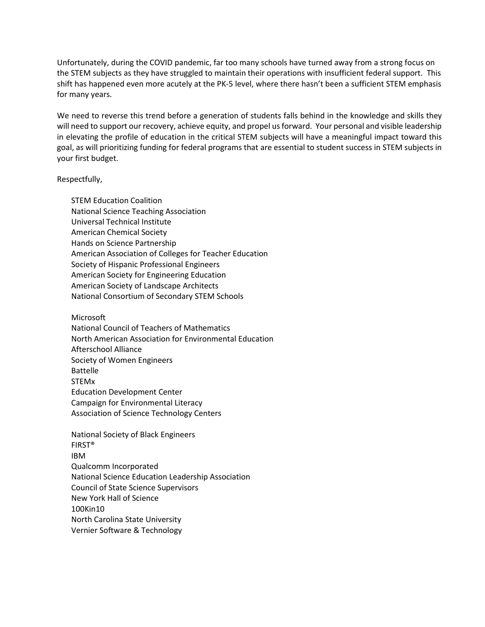Unfortunately, during the COVID pandemic, far too many schools have turned away from a strong focus on the STEM subjects as they have struggled to maintain their operations with insufficient federal support. This shift has happened even more acutely at the PK-5 level, where there hasn't been a sufficient STEM emphasis for many years.

We need to reverse this trend before a generation of students falls behind in the knowledge and skills they will need to support our recovery, achieve equity, and propel us forward. Your personal and visible leadership in elevating the profile of education in the critical STEM subjects will have a meaningful impact toward this goal, as will prioritizing funding for federal programs that are essential to student success in STEM subjects in your first budget.

## Respectfully,

STEM Education Coalition National Science Teaching Association Universal Technical Institute American Chemical Society Hands on Science Partnership American Association of Colleges for Teacher Education Society of Hispanic Professional Engineers American Society for Engineering Education American Society of Landscape Architects National Consortium of Secondary STEM Schools

Microsoft

National Council of Teachers of Mathematics North American Association for Environmental Education Afterschool Alliance Society of Women Engineers Battelle STEMx Education Development Center Campaign for Environmental Literacy Association of Science Technology Centers

National Society of Black Engineers FIRST® IBM Qualcomm Incorporated National Science Education Leadership Association Council of State Science Supervisors New York Hall of Science 100Kin10 North Carolina State University Vernier Software & Technology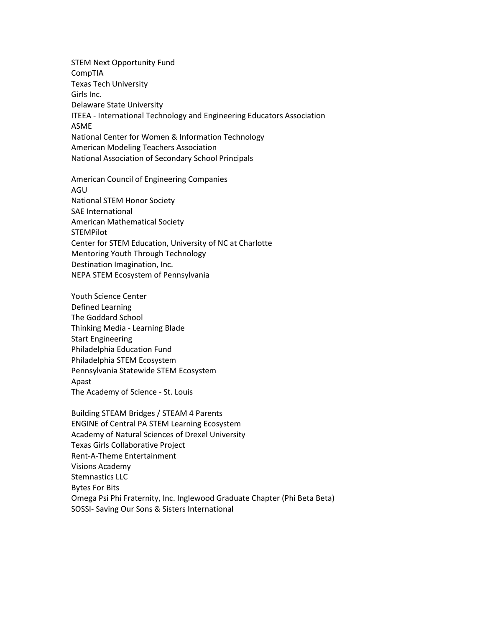STEM Next Opportunity Fund CompTIA Texas Tech University Girls Inc. Delaware State University ITEEA - International Technology and Engineering Educators Association ASME National Center for Women & Information Technology American Modeling Teachers Association National Association of Secondary School Principals

American Council of Engineering Companies AGU National STEM Honor Society SAE International American Mathematical Society **STEMPilot** Center for STEM Education, University of NC at Charlotte Mentoring Youth Through Technology Destination Imagination, Inc. NEPA STEM Ecosystem of Pennsylvania

Youth Science Center Defined Learning The Goddard School Thinking Media - Learning Blade Start Engineering Philadelphia Education Fund Philadelphia STEM Ecosystem Pennsylvania Statewide STEM Ecosystem Apast The Academy of Science - St. Louis

Building STEAM Bridges / STEAM 4 Parents ENGINE of Central PA STEM Learning Ecosystem Academy of Natural Sciences of Drexel University Texas Girls Collaborative Project Rent-A-Theme Entertainment Visions Academy Stemnastics LLC Bytes For Bits Omega Psi Phi Fraternity, Inc. Inglewood Graduate Chapter (Phi Beta Beta) SOSSI- Saving Our Sons & Sisters International